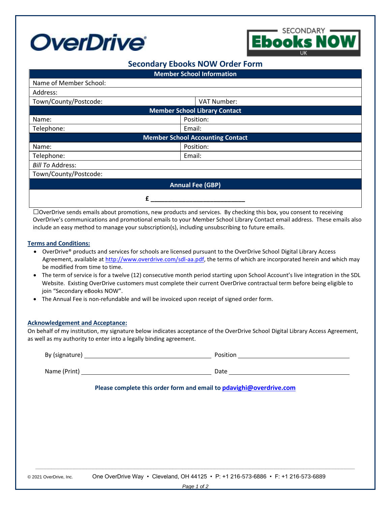



# **Secondary Ebooks NOW Order Form**

| <b>Member School Information</b>        |             |
|-----------------------------------------|-------------|
| Name of Member School:                  |             |
| Address:                                |             |
| Town/County/Postcode:                   | VAT Number: |
| <b>Member School Library Contact</b>    |             |
| Name:                                   | Position:   |
| Telephone:                              | Email:      |
| <b>Member School Accounting Contact</b> |             |
| Name:                                   | Position:   |
| Telephone:                              | Email:      |
| <b>Bill To Address:</b>                 |             |
| Town/County/Postcode:                   |             |
| <b>Annual Fee (GBP)</b>                 |             |
|                                         |             |

□OverDrive sends emails about promotions, new products and services. By checking this box, you consent to receiving OverDrive's communications and promotional emails to your Member School Library Contact email address. These emails also include an easy method to manage your subscription(s), including unsubscribing to future emails.

#### **Terms and Conditions:**

- OverDrive® products and services for schools are licensed pursuant to the OverDrive School Digital Library Access Agreement, available at [http://www.overdrive.com/sdl-aa.pdf,](http://www.overdrive.com/sdl-aa.pdf) the terms of which are incorporated herein and which may be modified from time to time.
- The term of service is for a twelve (12) consecutive month period starting upon School Account's live integration in the SDL Website. Existing OverDrive customers must complete their current OverDrive contractual term before being eligible to join "Secondary eBooks NOW".
- The Annual Fee is non-refundable and will be invoiced upon receipt of signed order form.

## **Acknowledgement and Acceptance:**

On behalf of my institution, my signature below indicates acceptance of the OverDrive School Digital Library Access Agreement, as well as my authority to enter into a legally binding agreement.

| Please complete this order form and email to pdavighi@overdrive.com |
|---------------------------------------------------------------------|
|                                                                     |
|                                                                     |
|                                                                     |
|                                                                     |
|                                                                     |